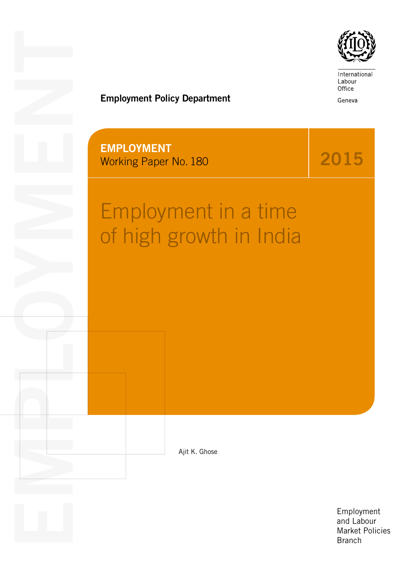

International Labour Office

Geneva

2015

## Employment Policy Department

EMPLOYMENT Working Paper No. 180

EMPLOYMENT CONTROL

# Employment in a time of high growth in India

Ajit K. Ghose

Employment and Labour Market Policies Branch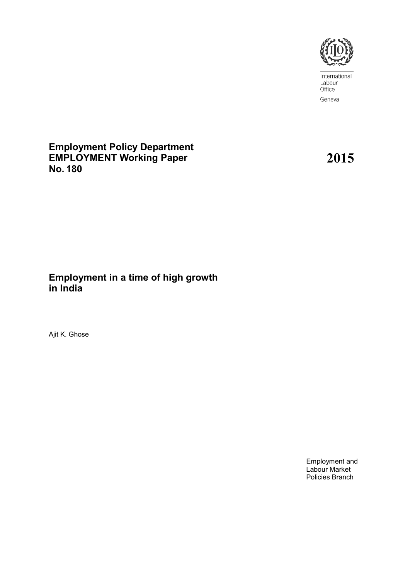

International Labour Office Geneva

**Employment Policy Department EMPLOYMENT Working Paper No. 180**

**2015**

## **Employment in a time of high growth in India**

Ajit K. Ghose

Employment and Labour Market Policies Branch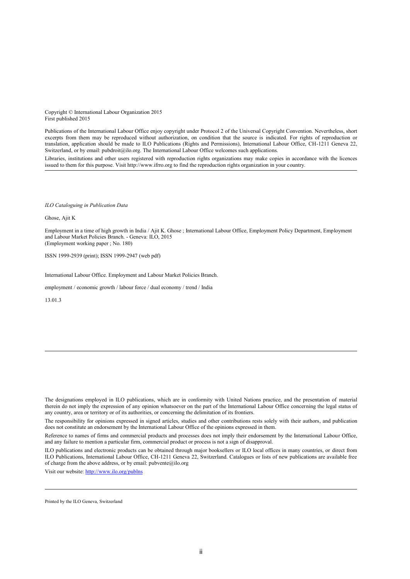Copyright © International Labour Organization 2015 First published 2015

Publications of the International Labour Office enjoy copyright under Protocol 2 of the Universal Copyright Convention. Nevertheless, short excerpts from them may be reproduced without authorization, on condition that the source is indicated. For rights of reproduction or translation, application should be made to ILO Publications (Rights and Permissions), International Labour Office, CH-1211 Geneva 22, Switzerland, or by email: pubdroit@ilo.org. The International Labour Office welcomes such applications.

Libraries, institutions and other users registered with reproduction rights organizations may make copies in accordance with the licences issued to them for this purpose. Visit http://www.ifrro.org to find the reproduction rights organization in your country.

*ILO Cataloguing in Publication Data*

Ghose, Ajit K

Employment in a time of high growth in India / Ajit K. Ghose ; International Labour Office, Employment Policy Department, Employment and Labour Market Policies Branch. - Geneva: ILO, 2015 (Employment working paper ; No. 180)

ISSN 1999-2939 (print); ISSN 1999-2947 (web pdf)

International Labour Office. Employment and Labour Market Policies Branch.

employment / economic growth / labour force / dual economy / trend / India

13.01.3

Visit our website[: http://www.ilo.org/publns](http://www.ilo.org/publns)

The designations employed in ILO publications, which are in conformity with United Nations practice, and the presentation of material therein do not imply the expression of any opinion whatsoever on the part of the International Labour Office concerning the legal status of any country, area or territory or of its authorities, or concerning the delimitation of its frontiers.

The responsibility for opinions expressed in signed articles, studies and other contributions rests solely with their authors, and publication does not constitute an endorsement by the International Labour Office of the opinions expressed in them.

Reference to names of firms and commercial products and processes does not imply their endorsement by the International Labour Office, and any failure to mention a particular firm, commercial product or process is not a sign of disapproval.

ILO publications and electronic products can be obtained through major booksellers or ILO local offices in many countries, or direct from ILO Publications, International Labour Office, CH-1211 Geneva 22, Switzerland. Catalogues or lists of new publications are available free of charge from the above address, or by email:  $\text{pubvente}(a)$ ilo.org

Printed by the ILO Geneva, Switzerland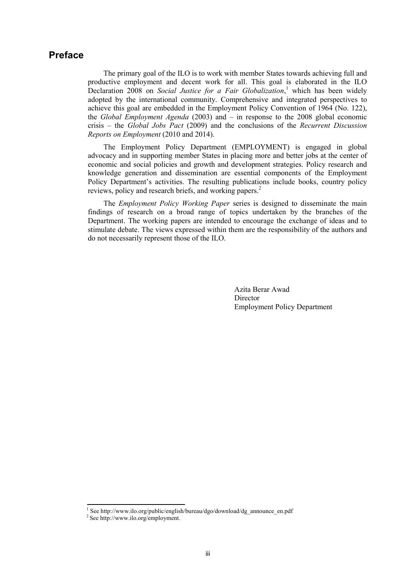## <span id="page-3-0"></span>**Preface**

The primary goal of the ILO is to work with member States towards achieving full and productive employment and decent work for all. This goal is elaborated in the ILO Declaration 2008 on *Social Justice for a Fair Globalization*, <sup>1</sup> which has been widely adopted by the international community. Comprehensive and integrated perspectives to achieve this goal are embedded in the Employment Policy Convention of 1964 (No. 122), the *Global Employment Agenda* (2003) and – in response to the 2008 global economic crisis – the *Global Jobs Pact* (2009) and the conclusions of the *Recurrent Discussion Reports on Employment* (2010 and 2014).

The Employment Policy Department (EMPLOYMENT) is engaged in global advocacy and in supporting member States in placing more and better jobs at the center of economic and social policies and growth and development strategies. Policy research and knowledge generation and dissemination are essential components of the Employment Policy Department's activities. The resulting publications include books, country policy reviews, policy and research briefs, and working papers.<sup>2</sup>

The *Employment Policy Working Paper* series is designed to disseminate the main findings of research on a broad range of topics undertaken by the branches of the Department. The working papers are intended to encourage the exchange of ideas and to stimulate debate. The views expressed within them are the responsibility of the authors and do not necessarily represent those of the ILO.

> Azita Berar Awad Director Employment Policy Department

<sup>&</sup>lt;sup>1</sup> See http://www.ilo.org/public/english/bureau/dgo/download/dg\_announce\_en.pdf

<sup>&</sup>lt;sup>2</sup> See http://www.ilo.org/employment.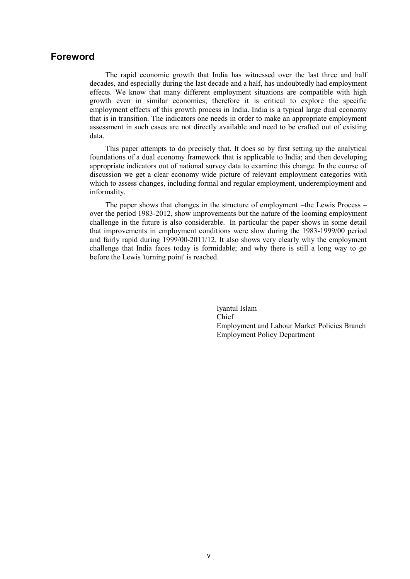## <span id="page-5-0"></span>**Foreword**

The rapid economic growth that India has witnessed over the last three and half decades, and especially during the last decade and a half, has undoubtedly had employment effects. We know that many different employment situations are compatible with high growth even in similar economies; therefore it is critical to explore the specific employment effects of this growth process in India. India is a typical large dual economy that is in transition. The indicators one needs in order to make an appropriate employment assessment in such cases are not directly available and need to be crafted out of existing data.

This paper attempts to do precisely that. It does so by first setting up the analytical foundations of a dual economy framework that is applicable to India; and then developing appropriate indicators out of national survey data to examine this change. In the course of discussion we get a clear economy wide picture of relevant employment categories with which to assess changes, including formal and regular employment, underemployment and informality.

The paper shows that changes in the structure of employment –the Lewis Process – over the period 1983-2012, show improvements but the nature of the looming employment challenge in the future is also considerable. In particular the paper shows in some detail that improvements in employment conditions were slow during the 1983-1999/00 period and fairly rapid during 1999/00-2011/12. It also shows very clearly why the employment challenge that India faces today is formidable; and why there is still a long way to go before the Lewis 'turning point' is reached.

> Iyantul Islam Chief Employment and Labour Market Policies Branch Employment Policy Department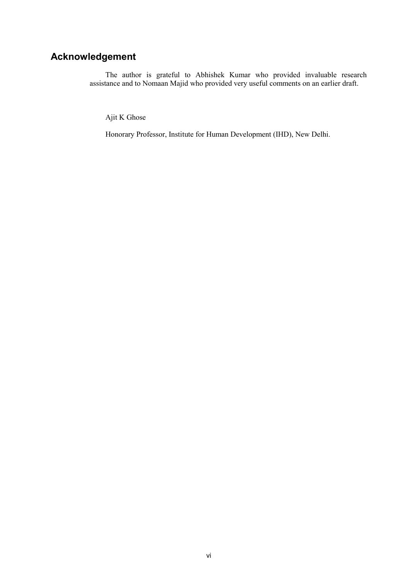## <span id="page-6-0"></span>**Acknowledgement**

The author is grateful to Abhishek Kumar who provided invaluable research assistance and to Nomaan Majid who provided very useful comments on an earlier draft.

Ajit K Ghose

Honorary Professor, Institute for Human Development (IHD), New Delhi.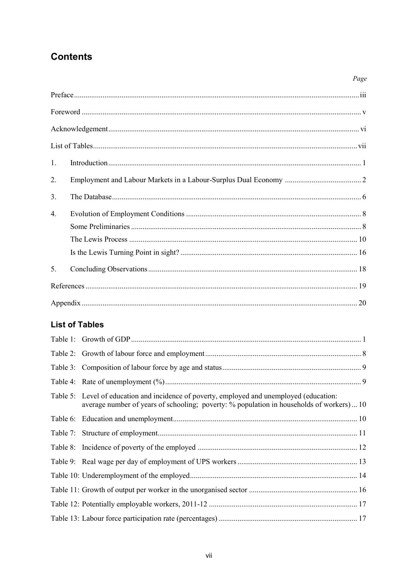## **Contents**

| 1.             |  |
|----------------|--|
| 2.             |  |
| 3 <sub>1</sub> |  |
| $\overline{4}$ |  |
|                |  |
|                |  |
|                |  |
| 5 <sub>1</sub> |  |
|                |  |
|                |  |

Page

## <span id="page-7-0"></span>**List of Tables**

| Table 5: Level of education and incidence of poverty, employed and unemployed (education:<br>average number of years of schooling; poverty: % population in households of workers) 10 |
|---------------------------------------------------------------------------------------------------------------------------------------------------------------------------------------|
|                                                                                                                                                                                       |
|                                                                                                                                                                                       |
|                                                                                                                                                                                       |
|                                                                                                                                                                                       |
|                                                                                                                                                                                       |
|                                                                                                                                                                                       |
|                                                                                                                                                                                       |
|                                                                                                                                                                                       |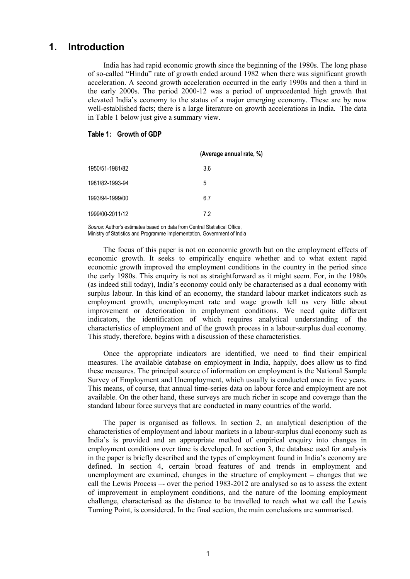## <span id="page-9-0"></span>**1. Introduction**

India has had rapid economic growth since the beginning of the 1980s. The long phase of so-called "Hindu" rate of growth ended around 1982 when there was significant growth acceleration. A second growth acceleration occurred in the early 1990s and then a third in the early 2000s. The period 2000-12 was a period of unprecedented high growth that elevated India's economy to the status of a major emerging economy. These are by now well-established facts; there is a large literature on growth accelerations in India. The data in Table 1 below just give a summary view.

#### <span id="page-9-1"></span>**Table 1: Growth of GDP**

|                 | (Average annual rate, %) |
|-----------------|--------------------------|
| 1950/51-1981/82 | 3.6                      |
| 1981/82-1993-94 | 5                        |
| 1993/94-1999/00 | 6.7                      |
| 1999/00-2011/12 | 7.2                      |

*Source:* Author's estimates based on data from Central Statistical Office, Ministry of Statistics and Programme Implementation, Government of India

The focus of this paper is not on economic growth but on the employment effects of economic growth. It seeks to empirically enquire whether and to what extent rapid economic growth improved the employment conditions in the country in the period since the early 1980s. This enquiry is not as straightforward as it might seem. For, in the 1980s (as indeed still today), India's economy could only be characterised as a dual economy with surplus labour. In this kind of an economy, the standard labour market indicators such as employment growth, unemployment rate and wage growth tell us very little about improvement or deterioration in employment conditions. We need quite different indicators, the identification of which requires analytical understanding of the characteristics of employment and of the growth process in a labour-surplus dual economy. This study, therefore, begins with a discussion of these characteristics.

Once the appropriate indicators are identified, we need to find their empirical measures. The available database on employment in India, happily, does allow us to find these measures. The principal source of information on employment is the National Sample Survey of Employment and Unemployment, which usually is conducted once in five years. This means, of course, that annual time-series data on labour force and employment are not available. On the other hand, these surveys are much richer in scope and coverage than the standard labour force surveys that are conducted in many countries of the world.

The paper is organised as follows. In section 2, an analytical description of the characteristics of employment and labour markets in a labour-surplus dual economy such as India's is provided and an appropriate method of empirical enquiry into changes in employment conditions over time is developed. In section 3, the database used for analysis in the paper is briefly described and the types of employment found in India's economy are defined. In section 4, certain broad features of and trends in employment and unemployment are examined, changes in the structure of employment – changes that we call the Lewis Process –- over the period 1983-2012 are analysed so as to assess the extent of improvement in employment conditions, and the nature of the looming employment challenge, characterised as the distance to be travelled to reach what we call the Lewis Turning Point, is considered. In the final section, the main conclusions are summarised.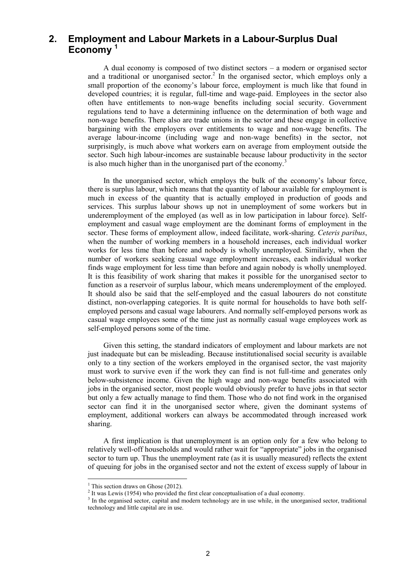## <span id="page-10-0"></span>**2. Employment and Labour Markets in a Labour-Surplus Dual Economy <sup>1</sup>**

A dual economy is composed of two distinct sectors – a modern or organised sector and a traditional or unorganised sector.<sup>2</sup> In the organised sector, which employs only a small proportion of the economy's labour force, employment is much like that found in developed countries; it is regular, full-time and wage-paid. Employees in the sector also often have entitlements to non-wage benefits including social security. Government regulations tend to have a determining influence on the determination of both wage and non-wage benefits. There also are trade unions in the sector and these engage in collective bargaining with the employers over entitlements to wage and non-wage benefits. The average labour-income (including wage and non-wage benefits) in the sector, not surprisingly, is much above what workers earn on average from employment outside the sector. Such high labour-incomes are sustainable because labour productivity in the sector is also much higher than in the unorganised part of the economy.<sup>3</sup>

In the unorganised sector, which employs the bulk of the economy's labour force, there is surplus labour, which means that the quantity of labour available for employment is much in excess of the quantity that is actually employed in production of goods and services. This surplus labour shows up not in unemployment of some workers but in underemployment of the employed (as well as in low participation in labour force). Selfemployment and casual wage employment are the dominant forms of employment in the sector. These forms of employment allow, indeed facilitate, work-sharing. *Ceteris paribus*, when the number of working members in a household increases, each individual worker works for less time than before and nobody is wholly unemployed. Similarly, when the number of workers seeking casual wage employment increases, each individual worker finds wage employment for less time than before and again nobody is wholly unemployed. It is this feasibility of work sharing that makes it possible for the unorganised sector to function as a reservoir of surplus labour, which means underemployment of the employed. It should also be said that the self-employed and the casual labourers do not constitute distinct, non-overlapping categories. It is quite normal for households to have both selfemployed persons and casual wage labourers. And normally self-employed persons work as casual wage employees some of the time just as normally casual wage employees work as self-employed persons some of the time.

Given this setting, the standard indicators of employment and labour markets are not just inadequate but can be misleading. Because institutionalised social security is available only to a tiny section of the workers employed in the organised sector, the vast majority must work to survive even if the work they can find is not full-time and generates only below-subsistence income. Given the high wage and non-wage benefits associated with jobs in the organised sector, most people would obviously prefer to have jobs in that sector but only a few actually manage to find them. Those who do not find work in the organised sector can find it in the unorganised sector where, given the dominant systems of employment, additional workers can always be accommodated through increased work sharing.

A first implication is that unemployment is an option only for a few who belong to relatively well-off households and would rather wait for "appropriate" jobs in the organised sector to turn up. Thus the unemployment rate (as it is usually measured) reflects the extent of queuing for jobs in the organised sector and not the extent of excess supply of labour in

<u>.</u>

<sup>&</sup>lt;sup>1</sup> This section draws on Ghose (2012).

 $2$  It was Lewis (1954) who provided the first clear conceptualisation of a dual economy.

<sup>&</sup>lt;sup>3</sup> In the organised sector, capital and modern technology are in use while, in the unorganised sector, traditional technology and little capital are in use.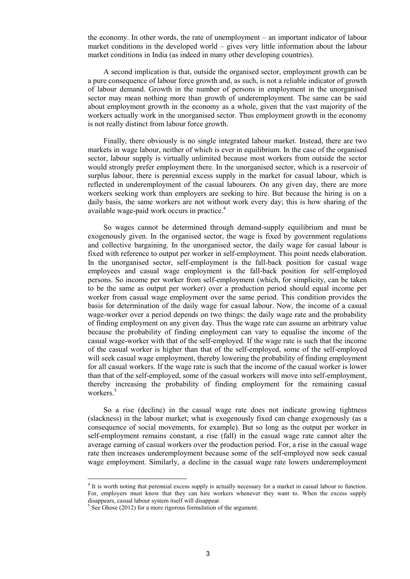the economy. In other words, the rate of unemployment – an important indicator of labour market conditions in the developed world – gives very little information about the labour market conditions in India (as indeed in many other developing countries).

A second implication is that, outside the organised sector, employment growth can be a pure consequence of labour force growth and, as such, is not a reliable indicator of growth of labour demand. Growth in the number of persons in employment in the unorganised sector may mean nothing more than growth of underemployment. The same can be said about employment growth in the economy as a whole, given that the vast majority of the workers actually work in the unorganised sector. Thus employment growth in the economy is not really distinct from labour force growth.

Finally, there obviously is no single integrated labour market. Instead, there are two markets in wage labour, neither of which is ever in equilibrium. In the case of the organised sector, labour supply is virtually unlimited because most workers from outside the sector would strongly prefer employment there. In the unorganised sector, which is a reservoir of surplus labour, there is perennial excess supply in the market for casual labour, which is reflected in underemployment of the casual labourers. On any given day, there are more workers seeking work than employers are seeking to hire. But because the hiring is on a daily basis, the same workers are not without work every day; this is how sharing of the available wage-paid work occurs in practice.<sup>4</sup>

So wages cannot be determined through demand-supply equilibrium and must be exogenously given. In the organised sector, the wage is fixed by government regulations and collective bargaining. In the unorganised sector, the daily wage for casual labour is fixed with reference to output per worker in self-employment. This point needs elaboration. In the unorganised sector, self-employment is the fall-back position for casual wage employees and casual wage employment is the fall-back position for self-employed persons. So income per worker from self-employment (which, for simplicity, can be taken to be the same as output per worker) over a production period should equal income per worker from casual wage employment over the same period. This condition provides the basis for determination of the daily wage for casual labour. Now, the income of a casual wage-worker over a period depends on two things: the daily wage rate and the probability of finding employment on any given day. Thus the wage rate can assume an arbitrary value because the probability of finding employment can vary to equalise the income of the casual wage-worker with that of the self-employed. If the wage rate is such that the income of the casual worker is higher than that of the self-employed, some of the self-employed will seek casual wage employment, thereby lowering the probability of finding employment for all casual workers. If the wage rate is such that the income of the casual worker is lower than that of the self-employed, some of the casual workers will move into self-employment, thereby increasing the probability of finding employment for the remaining casual workers.<sup>5</sup>

So a rise (decline) in the casual wage rate does not indicate growing tightness (slackness) in the labour market; what is exogenously fixed can change exogenously (as a consequence of social movements, for example). But so long as the output per worker in self-employment remains constant, a rise (fall) in the casual wage rate cannot alter the average earning of casual workers over the production period. For, a rise in the casual wage rate then increases underemployment because some of the self-employed now seek casual wage employment. Similarly, a decline in the casual wage rate lowers underemployment

<sup>&</sup>lt;sup>4</sup> It is worth noting that perennial excess supply is actually necessary for a market in casual labour to function. For, employers must know that they can hire workers whenever they want to. When the excess supply disappears, casual labour system itself will disappear.

 $5$  See Ghose (2012) for a more rigorous formulation of the argument.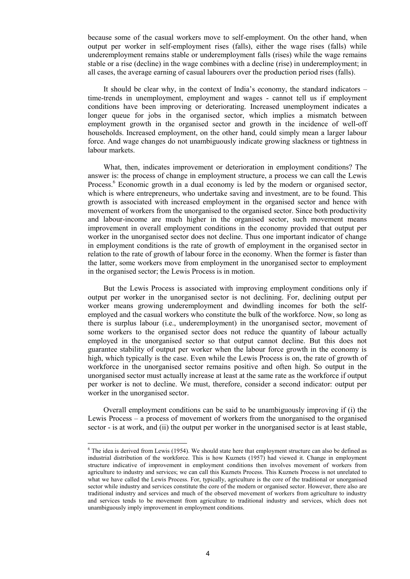because some of the casual workers move to self-employment. On the other hand, when output per worker in self-employment rises (falls), either the wage rises (falls) while underemployment remains stable or underemployment falls (rises) while the wage remains stable or a rise (decline) in the wage combines with a decline (rise) in underemployment; in all cases, the average earning of casual labourers over the production period rises (falls).

It should be clear why, in the context of India's economy, the standard indicators – time-trends in unemployment, employment and wages - cannot tell us if employment conditions have been improving or deteriorating. Increased unemployment indicates a longer queue for jobs in the organised sector, which implies a mismatch between employment growth in the organised sector and growth in the incidence of well-off households. Increased employment, on the other hand, could simply mean a larger labour force. And wage changes do not unambiguously indicate growing slackness or tightness in labour markets.

What, then, indicates improvement or deterioration in employment conditions? The answer is: the process of change in employment structure, a process we can call the Lewis Process.<sup>6</sup> Economic growth in a dual economy is led by the modern or organised sector, which is where entrepreneurs, who undertake saving and investment, are to be found. This growth is associated with increased employment in the organised sector and hence with movement of workers from the unorganised to the organised sector. Since both productivity and labour-income are much higher in the organised sector, such movement means improvement in overall employment conditions in the economy provided that output per worker in the unorganised sector does not decline. Thus one important indicator of change in employment conditions is the rate of growth of employment in the organised sector in relation to the rate of growth of labour force in the economy. When the former is faster than the latter, some workers move from employment in the unorganised sector to employment in the organised sector; the Lewis Process is in motion.

But the Lewis Process is associated with improving employment conditions only if output per worker in the unorganised sector is not declining. For, declining output per worker means growing underemployment and dwindling incomes for both the selfemployed and the casual workers who constitute the bulk of the workforce. Now, so long as there is surplus labour (i.e., underemployment) in the unorganised sector, movement of some workers to the organised sector does not reduce the quantity of labour actually employed in the unorganised sector so that output cannot decline. But this does not guarantee stability of output per worker when the labour force growth in the economy is high, which typically is the case. Even while the Lewis Process is on, the rate of growth of workforce in the unorganised sector remains positive and often high. So output in the unorganised sector must actually increase at least at the same rate as the workforce if output per worker is not to decline. We must, therefore, consider a second indicator: output per worker in the unorganised sector.

Overall employment conditions can be said to be unambiguously improving if (i) the Lewis Process – a process of movement of workers from the unorganised to the organised sector - is at work, and (ii) the output per worker in the unorganised sector is at least stable,

<u>.</u>

 $6$  The idea is derived from Lewis (1954). We should state here that employment structure can also be defined as industrial distribution of the workforce. This is how Kuznets (1957) had viewed it. Change in employment structure indicative of improvement in employment conditions then involves movement of workers from agriculture to industry and services; we can call this Kuznets Process. This Kuznets Process is not unrelated to what we have called the Lewis Process. For, typically, agriculture is the core of the traditional or unorganised sector while industry and services constitute the core of the modern or organised sector. However, there also are traditional industry and services and much of the observed movement of workers from agriculture to industry and services tends to be movement from agriculture to traditional industry and services, which does not unambiguously imply improvement in employment conditions.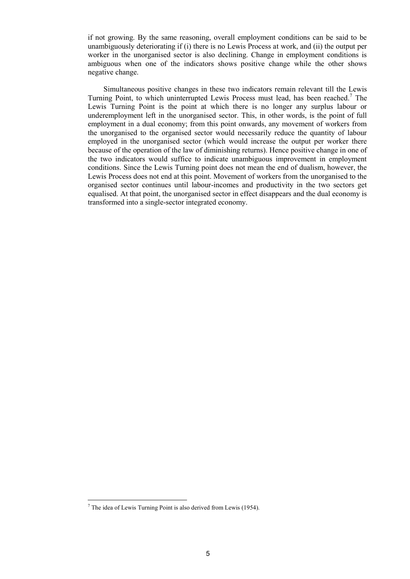if not growing. By the same reasoning, overall employment conditions can be said to be unambiguously deteriorating if (i) there is no Lewis Process at work, and (ii) the output per worker in the unorganised sector is also declining. Change in employment conditions is ambiguous when one of the indicators shows positive change while the other shows negative change.

Simultaneous positive changes in these two indicators remain relevant till the Lewis Turning Point, to which uninterrupted Lewis Process must lead, has been reached.<sup>7</sup> The Lewis Turning Point is the point at which there is no longer any surplus labour or underemployment left in the unorganised sector. This, in other words, is the point of full employment in a dual economy; from this point onwards, any movement of workers from the unorganised to the organised sector would necessarily reduce the quantity of labour employed in the unorganised sector (which would increase the output per worker there because of the operation of the law of diminishing returns). Hence positive change in one of the two indicators would suffice to indicate unambiguous improvement in employment conditions. Since the Lewis Turning point does not mean the end of dualism, however, the Lewis Process does not end at this point. Movement of workers from the unorganised to the organised sector continues until labour-incomes and productivity in the two sectors get equalised. At that point, the unorganised sector in effect disappears and the dual economy is transformed into a single-sector integrated economy.

<u>.</u>

 $<sup>7</sup>$  The idea of Lewis Turning Point is also derived from Lewis (1954).</sup>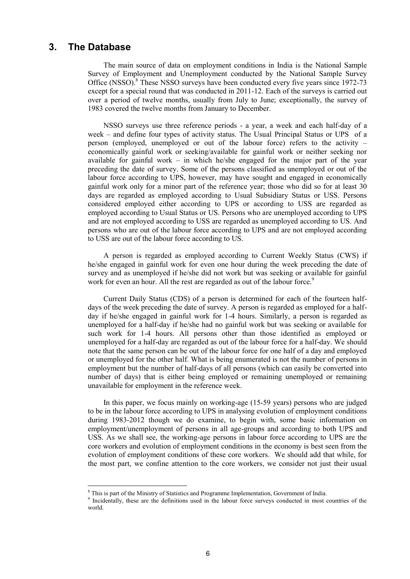## <span id="page-14-0"></span>**3. The Database**

1

The main source of data on employment conditions in India is the National Sample Survey of Employment and Unemployment conducted by the National Sample Survey Office (NSSO).<sup>8</sup> These NSSO surveys have been conducted every five years since 1972-73 except for a special round that was conducted in 2011-12. Each of the surveys is carried out over a period of twelve months, usually from July to June; exceptionally, the survey of 1983 covered the twelve months from January to December.

NSSO surveys use three reference periods - a year, a week and each half-day of a week – and define four types of activity status. The Usual Principal Status or UPS of a person (employed, unemployed or out of the labour force) refers to the activity – economically gainful work or seeking/available for gainful work or neither seeking nor available for gainful work – in which he/she engaged for the major part of the year preceding the date of survey. Some of the persons classified as unemployed or out of the labour force according to UPS, however, may have sought and engaged in economically gainful work only for a minor part of the reference year; those who did so for at least 30 days are regarded as employed according to Usual Subsidiary Status or USS. Persons considered employed either according to UPS or according to USS are regarded as employed according to Usual Status or US. Persons who are unemployed according to UPS and are not employed according to USS are regarded as unemployed according to US. And persons who are out of the labour force according to UPS and are not employed according to USS are out of the labour force according to US.

A person is regarded as employed according to Current Weekly Status (CWS) if he/she engaged in gainful work for even one hour during the week preceding the date of survey and as unemployed if he/she did not work but was seeking or available for gainful work for even an hour. All the rest are regarded as out of the labour force.<sup>9</sup>

Current Daily Status (CDS) of a person is determined for each of the fourteen halfdays of the week preceding the date of survey. A person is regarded as employed for a halfday if he/she engaged in gainful work for 1-4 hours. Similarly, a person is regarded as unemployed for a half-day if he/she had no gainful work but was seeking or available for such work for 1-4 hours. All persons other than those identified as employed or unemployed for a half-day are regarded as out of the labour force for a half-day. We should note that the same person can be out of the labour force for one half of a day and employed or unemployed for the other half. What is being enumerated is not the number of persons in employment but the number of half-days of all persons (which can easily be converted into number of days) that is either being employed or remaining unemployed or remaining unavailable for employment in the reference week.

In this paper, we focus mainly on working-age (15-59 years) persons who are judged to be in the labour force according to UPS in analysing evolution of employment conditions during 1983-2012 though we do examine, to begin with, some basic information on employment/unemployment of persons in all age-groups and according to both UPS and USS. As we shall see, the working-age persons in labour force according to UPS are the core workers and evolution of employment conditions in the economy is best seen from the evolution of employment conditions of these core workers. We should add that while, for the most part, we confine attention to the core workers, we consider not just their usual

<sup>&</sup>lt;sup>8</sup> This is part of the Ministry of Statistics and Programme Implementation, Government of India.

<sup>9</sup> Incidentally, these are the definitions used in the labour force surveys conducted in most countries of the world.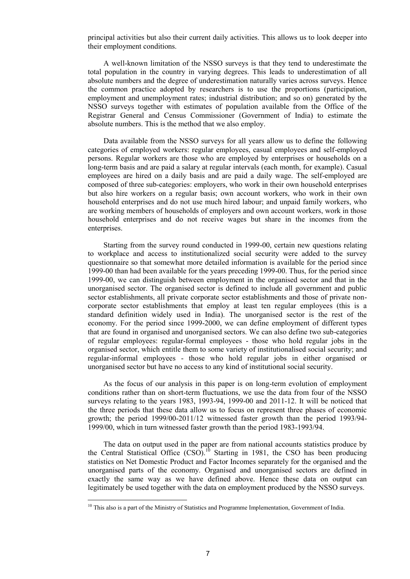principal activities but also their current daily activities. This allows us to look deeper into their employment conditions.

A well-known limitation of the NSSO surveys is that they tend to underestimate the total population in the country in varying degrees. This leads to underestimation of all absolute numbers and the degree of underestimation naturally varies across surveys. Hence the common practice adopted by researchers is to use the proportions (participation, employment and unemployment rates; industrial distribution; and so on) generated by the NSSO surveys together with estimates of population available from the Office of the Registrar General and Census Commissioner (Government of India) to estimate the absolute numbers. This is the method that we also employ.

Data available from the NSSO surveys for all years allow us to define the following categories of employed workers: regular employees, casual employees and self-employed persons. Regular workers are those who are employed by enterprises or households on a long-term basis and are paid a salary at regular intervals (each month, for example). Casual employees are hired on a daily basis and are paid a daily wage. The self-employed are composed of three sub-categories: employers, who work in their own household enterprises but also hire workers on a regular basis; own account workers, who work in their own household enterprises and do not use much hired labour; and unpaid family workers, who are working members of households of employers and own account workers, work in those household enterprises and do not receive wages but share in the incomes from the enterprises.

Starting from the survey round conducted in 1999-00, certain new questions relating to workplace and access to institutionalized social security were added to the survey questionnaire so that somewhat more detailed information is available for the period since 1999-00 than had been available for the years preceding 1999-00. Thus, for the period since 1999-00, we can distinguish between employment in the organised sector and that in the unorganised sector. The organised sector is defined to include all government and public sector establishments, all private corporate sector establishments and those of private noncorporate sector establishments that employ at least ten regular employees (this is a standard definition widely used in India). The unorganised sector is the rest of the economy. For the period since 1999-2000, we can define employment of different types that are found in organised and unorganised sectors. We can also define two sub-categories of regular employees: regular-formal employees - those who hold regular jobs in the organised sector, which entitle them to some variety of institutionalised social security; and regular-informal employees - those who hold regular jobs in either organised or unorganised sector but have no access to any kind of institutional social security.

As the focus of our analysis in this paper is on long-term evolution of employment conditions rather than on short-term fluctuations, we use the data from four of the NSSO surveys relating to the years 1983, 1993-94, 1999-00 and 2011-12. It will be noticed that the three periods that these data allow us to focus on represent three phases of economic growth; the period 1999/00-2011/12 witnessed faster growth than the period 1993/94- 1999/00, which in turn witnessed faster growth than the period 1983-1993/94.

The data on output used in the paper are from national accounts statistics produce by the Central Statistical Office  $(CSO)$ .<sup>10</sup> Starting in 1981, the CSO has been producing statistics on Net Domestic Product and Factor Incomes separately for the organised and the unorganised parts of the economy. Organised and unorganised sectors are defined in exactly the same way as we have defined above. Hence these data on output can legitimately be used together with the data on employment produced by the NSSO surveys.

<u>.</u>

<sup>&</sup>lt;sup>10</sup> This also is a part of the Ministry of Statistics and Programme Implementation, Government of India.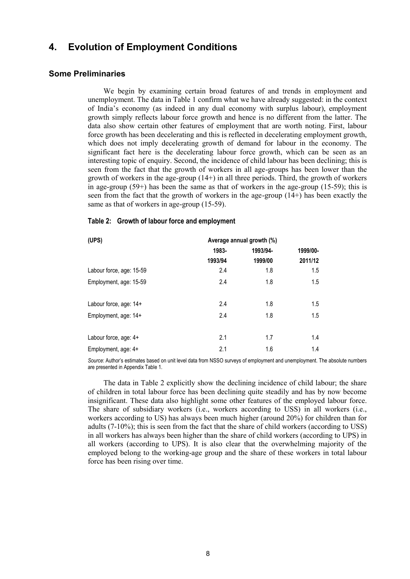## <span id="page-16-0"></span>**4. Evolution of Employment Conditions**

#### <span id="page-16-1"></span>**Some Preliminaries**

We begin by examining certain broad features of and trends in employment and unemployment. The data in Table 1 confirm what we have already suggested: in the context of India's economy (as indeed in any dual economy with surplus labour), employment growth simply reflects labour force growth and hence is no different from the latter. The data also show certain other features of employment that are worth noting. First, labour force growth has been decelerating and this is reflected in decelerating employment growth, which does not imply decelerating growth of demand for labour in the economy. The significant fact here is the decelerating labour force growth, which can be seen as an interesting topic of enquiry. Second, the incidence of child labour has been declining; this is seen from the fact that the growth of workers in all age-groups has been lower than the growth of workers in the age-group (14+) in all three periods. Third, the growth of workers in age-group  $(59+)$  has been the same as that of workers in the age-group  $(15-59)$ ; this is seen from the fact that the growth of workers in the age-group (14+) has been exactly the same as that of workers in age-group (15-59).

#### <span id="page-16-2"></span>**Table 2: Growth of labour force and employment**

| (UPS)                    | Average annual growth (%) |          |          |
|--------------------------|---------------------------|----------|----------|
|                          | 1983-                     | 1993/94- | 1999/00- |
|                          | 1993/94                   | 1999/00  | 2011/12  |
| Labour force, age: 15-59 | 2.4                       | 1.8      | 1.5      |
| Employment, age: 15-59   | 2.4                       | 1.8      | 1.5      |
| Labour force, age: 14+   | 2.4                       | 1.8      | 1.5      |
| Employment, age: 14+     | 2.4                       | 1.8      | 1.5      |
| Labour force, age: 4+    | 2.1                       | 1.7      | 1.4      |
| Employment, age: 4+      | 2.1                       | 1.6      | 1.4      |

*Source*: Author's estimates based on unit level data from NSSO surveys of employment and unemployment. The absolute numbers are presented in Appendix Table 1.

The data in Table 2 explicitly show the declining incidence of child labour; the share of children in total labour force has been declining quite steadily and has by now become insignificant. These data also highlight some other features of the employed labour force. The share of subsidiary workers (i.e., workers according to USS) in all workers (i.e., workers according to US) has always been much higher (around 20%) for children than for adults (7-10%); this is seen from the fact that the share of child workers (according to USS) in all workers has always been higher than the share of child workers (according to UPS) in all workers (according to UPS). It is also clear that the overwhelming majority of the employed belong to the working-age group and the share of these workers in total labour force has been rising over time.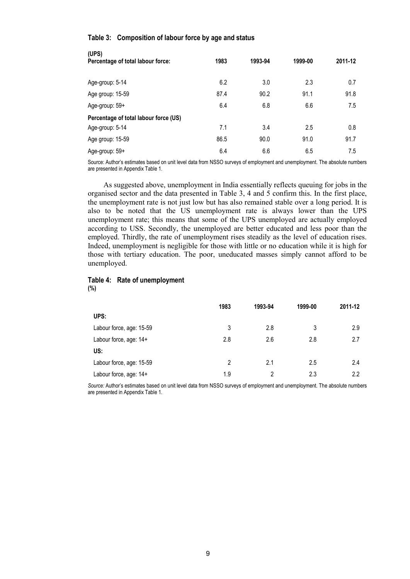#### <span id="page-17-0"></span>**Table 3: Composition of labour force by age and status**

| (UPS)<br>Percentage of total labour force: | 1983 | 1993-94 | 1999-00 | 2011-12 |
|--------------------------------------------|------|---------|---------|---------|
| Age-group: 5-14                            | 6.2  | 3.0     | 2.3     | 0.7     |
| Age group: 15-59                           | 87.4 | 90.2    | 91.1    | 91.8    |
| Age-group: 59+                             | 6.4  | 6.8     | 6.6     | 7.5     |
| Percentage of total labour force (US)      |      |         |         |         |
| Age-group: 5-14                            | 7.1  | 3.4     | 2.5     | 0.8     |
| Age group: 15-59                           | 86.5 | 90.0    | 91.0    | 91.7    |
| Age-group: 59+                             | 6.4  | 6.6     | 6.5     | 7.5     |

Source: Author's estimates based on unit level data from NSSO surveys of employment and unemployment. The absolute numbers are presented in Appendix Table 1.

As suggested above, unemployment in India essentially reflects queuing for jobs in the organised sector and the data presented in Table 3, 4 and 5 confirm this. In the first place, the unemployment rate is not just low but has also remained stable over a long period. It is also to be noted that the US unemployment rate is always lower than the UPS unemployment rate; this means that some of the UPS unemployed are actually employed according to USS. Secondly, the unemployed are better educated and less poor than the employed. Thirdly, the rate of unemployment rises steadily as the level of education rises. Indeed, unemployment is negligible for those with little or no education while it is high for those with tertiary education. The poor, uneducated masses simply cannot afford to be unemployed.

#### <span id="page-17-1"></span>**Table 4: Rate of unemployment (%)**

|                          | 1983           | 1993-94 | 1999-00 | 2011-12 |
|--------------------------|----------------|---------|---------|---------|
| UPS:                     |                |         |         |         |
| Labour force, age: 15-59 | 3              | 2.8     | 3       | 2.9     |
| Labour force, age: 14+   | 2.8            | 2.6     | 2.8     | 2.7     |
| US:                      |                |         |         |         |
| Labour force, age: 15-59 | $\mathfrak{p}$ | 2.1     | 2.5     | 2.4     |
| Labour force, age: 14+   | 1.9            | 2       | 2.3     | 2.2     |

*Source:* Author's estimates based on unit level data from NSSO surveys of employment and unemployment. The absolute numbers are presented in Appendix Table 1.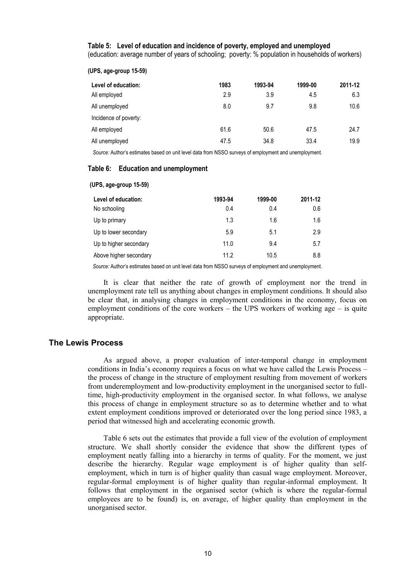<span id="page-18-1"></span>**Table 5: Level of education and incidence of poverty, employed and unemployed**

(education: average number of years of schooling; poverty: % population in households of workers)

| (UPS, age-group 15-59) |  |
|------------------------|--|
|------------------------|--|

**(UPS, age-group 15-59)**

| Level of education:   | 1983 | 1993-94 | 1999-00 | 2011-12 |
|-----------------------|------|---------|---------|---------|
| All employed          | 2.9  | 3.9     | 4.5     | 6.3     |
| All unemployed        | 8.0  | 9.7     | 9.8     | 10.6    |
| Incidence of poverty: |      |         |         |         |
| All employed          | 61.6 | 50.6    | 47.5    | 24.7    |
| All unemployed        | 47.5 | 34.8    | 33.4    | 19.9    |

*Source:* Author's estimates based on unit level data from NSSO surveys of employment and unemployment.

#### <span id="page-18-2"></span>**Table 6: Education and unemployment**

| Level of education:    | 1993-94 | 1999-00 | 2011-12 |
|------------------------|---------|---------|---------|
| No schooling           | 0.4     | 0.4     | 0.6     |
| Up to primary          | 1.3     | 1.6     | 1.6     |
| Up to lower secondary  | 5.9     | 5.1     | 2.9     |
| Up to higher secondary | 11.0    | 9.4     | 5.7     |
| Above higher secondary | 11.2    | 10.5    | 8.8     |
|                        |         |         |         |

*Source:* Author's estimates based on unit level data from NSSO surveys of employment and unemployment.

It is clear that neither the rate of growth of employment nor the trend in unemployment rate tell us anything about changes in employment conditions. It should also be clear that, in analysing changes in employment conditions in the economy, focus on employment conditions of the core workers – the UPS workers of working age – is quite appropriate.

### <span id="page-18-0"></span>**The Lewis Process**

As argued above, a proper evaluation of inter-temporal change in employment conditions in India's economy requires a focus on what we have called the Lewis Process – the process of change in the structure of employment resulting from movement of workers from underemployment and low-productivity employment in the unorganised sector to fulltime, high-productivity employment in the organised sector. In what follows, we analyse this process of change in employment structure so as to determine whether and to what extent employment conditions improved or deteriorated over the long period since 1983, a period that witnessed high and accelerating economic growth.

Table 6 sets out the estimates that provide a full view of the evolution of employment structure. We shall shortly consider the evidence that show the different types of employment neatly falling into a hierarchy in terms of quality. For the moment, we just describe the hierarchy. Regular wage employment is of higher quality than selfemployment, which in turn is of higher quality than casual wage employment. Moreover, regular-formal employment is of higher quality than regular-informal employment. It follows that employment in the organised sector (which is where the regular-formal employees are to be found) is, on average, of higher quality than employment in the unorganised sector.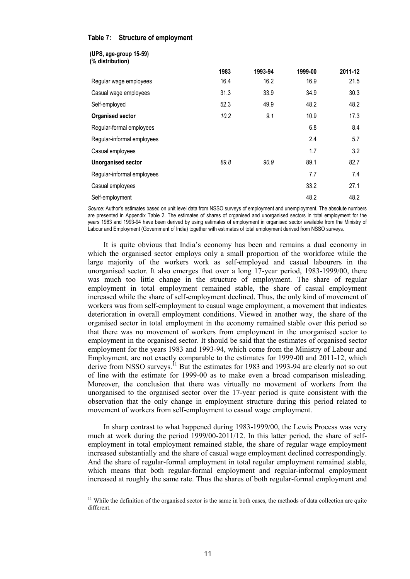#### <span id="page-19-0"></span>**Table 7: Structure of employment**

**(UPS, age-group 15-59)**

1

| (UI U, uyu-yivup 10-00)<br>(% distribution) |      |         |         |         |
|---------------------------------------------|------|---------|---------|---------|
|                                             | 1983 | 1993-94 | 1999-00 | 2011-12 |
| Regular wage employees                      | 16.4 | 16.2    | 16.9    | 21.5    |
| Casual wage employees                       | 31.3 | 33.9    | 34.9    | 30.3    |
| Self-employed                               | 52.3 | 49.9    | 48.2    | 48.2    |
| <b>Organised sector</b>                     | 10.2 | 9.1     | 10.9    | 17.3    |
| Regular-formal employees                    |      |         | 6.8     | 8.4     |
| Regular-informal employees                  |      |         | 2.4     | 5.7     |
| Casual employees                            |      |         | 1.7     | 3.2     |
| <b>Unorganised sector</b>                   | 89.8 | 90.9    | 89.1    | 82.7    |
| Regular-informal employees                  |      |         | 7.7     | 7.4     |
| Casual employees                            |      |         | 33.2    | 27.1    |
| Self-employment                             |      |         | 48.2    | 48.2    |

*Source:* Author's estimates based on unit level data from NSSO surveys of employment and unemployment. The absolute numbers are presented in Appendix Table 2. The estimates of shares of organised and unorganised sectors in total employment for the years 1983 and 1993-94 have been derived by using estimates of employment in organised sector available from the Ministry of Labour and Employment (Government of India) together with estimates of total employment derived from NSSO surveys.

It is quite obvious that India's economy has been and remains a dual economy in which the organised sector employs only a small proportion of the workforce while the large majority of the workers work as self-employed and casual labourers in the unorganised sector. It also emerges that over a long 17-year period, 1983-1999/00, there was much too little change in the structure of employment. The share of regular employment in total employment remained stable, the share of casual employment increased while the share of self-employment declined. Thus, the only kind of movement of workers was from self-employment to casual wage employment, a movement that indicates deterioration in overall employment conditions. Viewed in another way, the share of the organised sector in total employment in the economy remained stable over this period so that there was no movement of workers from employment in the unorganised sector to employment in the organised sector. It should be said that the estimates of organised sector employment for the years 1983 and 1993-94, which come from the Ministry of Labour and Employment, are not exactly comparable to the estimates for 1999-00 and 2011-12, which derive from NSSO surveys.<sup>11</sup> But the estimates for 1983 and 1993-94 are clearly not so out of line with the estimate for 1999-00 as to make even a broad comparison misleading. Moreover, the conclusion that there was virtually no movement of workers from the unorganised to the organised sector over the 17-year period is quite consistent with the observation that the only change in employment structure during this period related to movement of workers from self-employment to casual wage employment.

In sharp contrast to what happened during 1983-1999/00, the Lewis Process was very much at work during the period 1999/00-2011/12. In this latter period, the share of selfemployment in total employment remained stable, the share of regular wage employment increased substantially and the share of casual wage employment declined correspondingly. And the share of regular-formal employment in total regular employment remained stable, which means that both regular-formal employment and regular-informal employment increased at roughly the same rate. Thus the shares of both regular-formal employment and

<sup>&</sup>lt;sup>11</sup> While the definition of the organised sector is the same in both cases, the methods of data collection are quite different.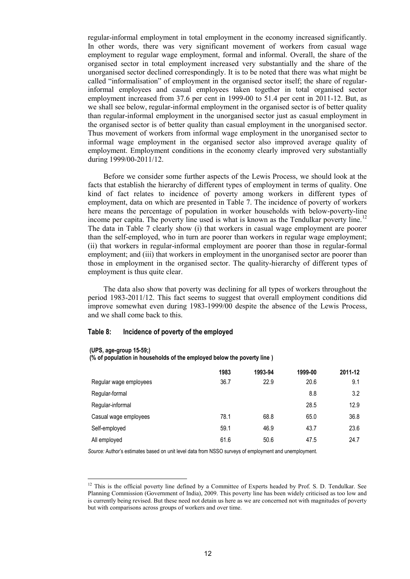regular-informal employment in total employment in the economy increased significantly. In other words, there was very significant movement of workers from casual wage employment to regular wage employment, formal and informal. Overall, the share of the organised sector in total employment increased very substantially and the share of the unorganised sector declined correspondingly. It is to be noted that there was what might be called "informalisation" of employment in the organised sector itself; the share of regularinformal employees and casual employees taken together in total organised sector employment increased from 37.6 per cent in 1999-00 to 51.4 per cent in 2011-12. But, as we shall see below, regular-informal employment in the organised sector is of better quality than regular-informal employment in the unorganised sector just as casual employment in the organised sector is of better quality than casual employment in the unorganised sector. Thus movement of workers from informal wage employment in the unorganised sector to informal wage employment in the organised sector also improved average quality of employment. Employment conditions in the economy clearly improved very substantially during 1999/00-2011/12.

Before we consider some further aspects of the Lewis Process, we should look at the facts that establish the hierarchy of different types of employment in terms of quality. One kind of fact relates to incidence of poverty among workers in different types of employment, data on which are presented in Table 7. The incidence of poverty of workers here means the percentage of population in worker households with below-poverty-line income per capita. The poverty line used is what is known as the Tendulkar poverty line.<sup>12</sup> The data in Table 7 clearly show (i) that workers in casual wage employment are poorer than the self-employed, who in turn are poorer than workers in regular wage employment; (ii) that workers in regular-informal employment are poorer than those in regular-formal employment; and (iii) that workers in employment in the unorganised sector are poorer than those in employment in the organised sector. The quality-hierarchy of different types of employment is thus quite clear.

The data also show that poverty was declining for all types of workers throughout the period 1983-2011/12. This fact seems to suggest that overall employment conditions did improve somewhat even during 1983-1999/00 despite the absence of the Lewis Process, and we shall come back to this.

#### <span id="page-20-0"></span>**Table 8: Incidence of poverty of the employed**

#### **(UPS, age-group 15-59;)**

<u>.</u>

**(% of population in households of the employed below the poverty line )**

|                        | 1983 | 1993-94 | 1999-00 | 2011-12 |
|------------------------|------|---------|---------|---------|
| Regular wage employees | 36.7 | 22.9    | 20.6    | 9.1     |
| Regular-formal         |      |         | 8.8     | 3.2     |
| Regular-informal       |      |         | 28.5    | 12.9    |
| Casual wage employees  | 78.1 | 68.8    | 65.0    | 36.8    |
| Self-employed          | 59.1 | 46.9    | 43.7    | 23.6    |
| All employed           | 61.6 | 50.6    | 47.5    | 24.7    |

*Source:* Author's estimates based on unit level data from NSSO surveys of employment and unemployment.

 $12$  This is the official poverty line defined by a Committee of Experts headed by Prof. S. D. Tendulkar. See Planning Commission (Government of India), 2009. This poverty line has been widely criticised as too low and is currently being revised. But these need not detain us here as we are concerned not with magnitudes of poverty but with comparisons across groups of workers and over time.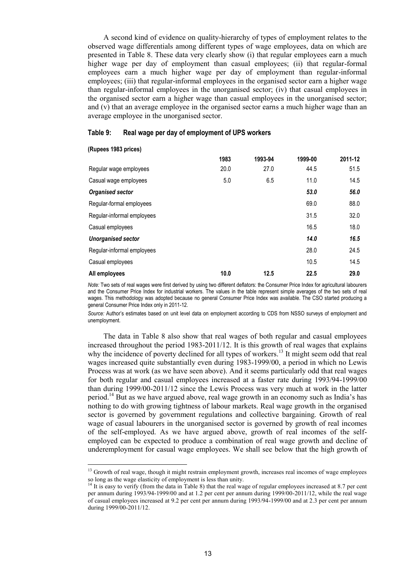A second kind of evidence on quality-hierarchy of types of employment relates to the observed wage differentials among different types of wage employees, data on which are presented in Table 8. These data very clearly show (i) that regular employees earn a much higher wage per day of employment than casual employees; (ii) that regular-formal employees earn a much higher wage per day of employment than regular-informal employees; (iii) that regular-informal employees in the organised sector earn a higher wage than regular-informal employees in the unorganised sector; (iv) that casual employees in the organised sector earn a higher wage than casual employees in the unorganised sector; and (v) that an average employee in the organised sector earns a much higher wage than an average employee in the unorganised sector.

#### <span id="page-21-0"></span>**Table 9: Real wage per day of employment of UPS workers**

#### **(Rupees 1983 prices)**

<u>.</u>

|                            | 1983 | 1993-94 | 1999-00 | 2011-12 |
|----------------------------|------|---------|---------|---------|
| Regular wage employees     | 20.0 | 27.0    | 44.5    | 51.5    |
| Casual wage employees      | 5.0  | 6.5     | 11.0    | 14.5    |
| Organised sector           |      |         | 53.0    | 56.0    |
| Regular-formal employees   |      |         | 69.0    | 88.0    |
| Regular-informal employees |      |         | 31.5    | 32.0    |
| Casual employees           |      |         | 16.5    | 18.0    |
| <b>Unorganised sector</b>  |      |         | 14.0    | 16.5    |
| Regular-informal employees |      |         | 28.0    | 24.5    |
| Casual employees           |      |         | 10.5    | 14.5    |
| All employees              | 10.0 | 12.5    | 22.5    | 29.0    |

*Note:* Two sets of real wages were first derived by using two different deflators: the Consumer Price Index for agricultural labourers and the Consumer Price Index for industrial workers. The values in the table represent simple averages of the two sets of real wages. This methodology was adopted because no general Consumer Price Index was available. The CSO started producing a general Consumer Price Index only in 2011-12.

*Source:* Author's estimates based on unit level data on employment according to CDS from NSSO surveys of employment and unemployment.

The data in Table 8 also show that real wages of both regular and casual employees increased throughout the period 1983-2011/12. It is this growth of real wages that explains why the incidence of poverty declined for all types of workers.<sup>13</sup> It might seem odd that real wages increased quite substantially even during 1983-1999/00, a period in which no Lewis Process was at work (as we have seen above). And it seems particularly odd that real wages for both regular and casual employees increased at a faster rate during 1993/94-1999/00 than during 1999/00-2011/12 since the Lewis Process was very much at work in the latter period.<sup>14</sup> But as we have argued above, real wage growth in an economy such as India's has nothing to do with growing tightness of labour markets. Real wage growth in the organised sector is governed by government regulations and collective bargaining. Growth of real wage of casual labourers in the unorganised sector is governed by growth of real incomes of the self-employed. As we have argued above, growth of real incomes of the selfemployed can be expected to produce a combination of real wage growth and decline of underemployment for casual wage employees. We shall see below that the high growth of

<sup>&</sup>lt;sup>13</sup> Growth of real wage, though it might restrain employment growth, increases real incomes of wage employees so long as the wage elasticity of employment is less than unity.

<sup>14</sup> It is easy to verify (from the data in Table 8) that the real wage of regular employees increased at 8.7 per cent per annum during 1993/94-1999/00 and at 1.2 per cent per annum during 1999/00-2011/12, while the real wage of casual employees increased at 9.2 per cent per annum during 1993/94-1999/00 and at 2.3 per cent per annum during 1999/00-2011/12.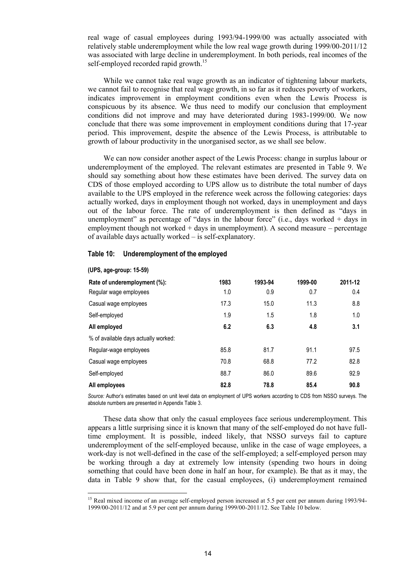real wage of casual employees during 1993/94-1999/00 was actually associated with relatively stable underemployment while the low real wage growth during 1999/00-2011/12 was associated with large decline in underemployment. In both periods, real incomes of the self-employed recorded rapid growth.<sup>15</sup>

While we cannot take real wage growth as an indicator of tightening labour markets, we cannot fail to recognise that real wage growth, in so far as it reduces poverty of workers, indicates improvement in employment conditions even when the Lewis Process is conspicuous by its absence. We thus need to modify our conclusion that employment conditions did not improve and may have deteriorated during 1983-1999/00. We now conclude that there was some improvement in employment conditions during that 17-year period. This improvement, despite the absence of the Lewis Process, is attributable to growth of labour productivity in the unorganised sector, as we shall see below.

We can now consider another aspect of the Lewis Process: change in surplus labour or underemployment of the employed. The relevant estimates are presented in Table 9. We should say something about how these estimates have been derived. The survey data on CDS of those employed according to UPS allow us to distribute the total number of days available to the UPS employed in the reference week across the following categories: days actually worked, days in employment though not worked, days in unemployment and days out of the labour force. The rate of underemployment is then defined as "days in unemployment" as percentage of "days in the labour force" (i.e., days worked  $+$  days in employment though not worked + days in unemployment). A second measure – percentage of available days actually worked – is self-explanatory.

<span id="page-22-0"></span>

| Table 10: | Underemployment of the employed |  |  |  |  |
|-----------|---------------------------------|--|--|--|--|
|-----------|---------------------------------|--|--|--|--|

| Rate of underemployment (%):         | 1983 | 1993-94 | 1999-00 | 2011-12 |
|--------------------------------------|------|---------|---------|---------|
| Regular wage employees               | 1.0  | 0.9     | 0.7     | 0.4     |
| Casual wage employees                | 17.3 | 15.0    | 11.3    | 8.8     |
| Self-employed                        | 1.9  | 1.5     | 1.8     | 1.0     |
| All employed                         | 6.2  | 6.3     | 4.8     | 3.1     |
| % of available days actually worked: |      |         |         |         |
| Regular-wage employees               | 85.8 | 81.7    | 91.1    | 97.5    |
| Casual wage employees                | 70.8 | 68.8    | 77.2    | 82.8    |
| Self-employed                        | 88.7 | 86.0    | 89.6    | 92.9    |
| All employees                        | 82.8 | 78.8    | 85.4    | 90.8    |

**(UPS, age-group: 15-59)**

1

*Source:* Author's estimates based on unit level data on employment of UPS workers according to CDS from NSSO surveys. The absolute numbers are presented in Appendix Table 3.

These data show that only the casual employees face serious underemployment. This appears a little surprising since it is known that many of the self-employed do not have fulltime employment. It is possible, indeed likely, that NSSO surveys fail to capture underemployment of the self-employed because, unlike in the case of wage employees, a work-day is not well-defined in the case of the self-employed; a self-employed person may be working through a day at extremely low intensity (spending two hours in doing something that could have been done in half an hour, for example). Be that as it may, the data in Table 9 show that, for the casual employees, (i) underemployment remained

<sup>&</sup>lt;sup>15</sup> Real mixed income of an average self-employed person increased at 5.5 per cent per annum during 1993/94-1999/00-2011/12 and at 5.9 per cent per annum during 1999/00-2011/12. See Table 10 below.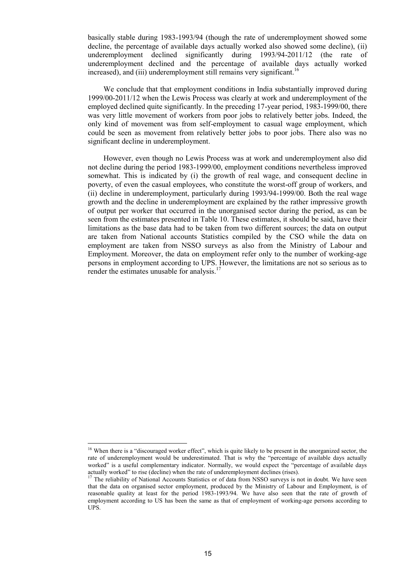basically stable during 1983-1993/94 (though the rate of underemployment showed some decline, the percentage of available days actually worked also showed some decline), (ii) underemployment declined significantly during 1993/94-2011/12 (the rate of underemployment declined and the percentage of available days actually worked increased), and (iii) underemployment still remains very significant.<sup>16</sup>

We conclude that that employment conditions in India substantially improved during 1999/00-2011/12 when the Lewis Process was clearly at work and underemployment of the employed declined quite significantly. In the preceding 17-year period, 1983-1999/00, there was very little movement of workers from poor jobs to relatively better jobs. Indeed, the only kind of movement was from self-employment to casual wage employment, which could be seen as movement from relatively better jobs to poor jobs. There also was no significant decline in underemployment.

However, even though no Lewis Process was at work and underemployment also did not decline during the period 1983-1999/00, employment conditions nevertheless improved somewhat. This is indicated by (i) the growth of real wage, and consequent decline in poverty, of even the casual employees, who constitute the worst-off group of workers, and (ii) decline in underemployment, particularly during 1993/94-1999/00. Both the real wage growth and the decline in underemployment are explained by the rather impressive growth of output per worker that occurred in the unorganised sector during the period, as can be seen from the estimates presented in Table 10. These estimates, it should be said, have their limitations as the base data had to be taken from two different sources; the data on output are taken from National accounts Statistics compiled by the CSO while the data on employment are taken from NSSO surveys as also from the Ministry of Labour and Employment. Moreover, the data on employment refer only to the number of working-age persons in employment according to UPS. However, the limitations are not so serious as to render the estimates unusable for analysis.<sup>17</sup>

<u>.</u>

<sup>&</sup>lt;sup>16</sup> When there is a "discouraged worker effect", which is quite likely to be present in the unorganized sector, the rate of underemployment would be underestimated. That is why the "percentage of available days actually worked" is a useful complementary indicator. Normally, we would expect the "percentage of available days actually worked" to rise (decline) when the rate of underemployment declines (rises).

<sup>17</sup> The reliability of National Accounts Statistics or of data from NSSO surveys is not in doubt. We have seen that the data on organised sector employment, produced by the Ministry of Labour and Employment, is of reasonable quality at least for the period 1983-1993/94. We have also seen that the rate of growth of employment according to US has been the same as that of employment of working-age persons according to UPS.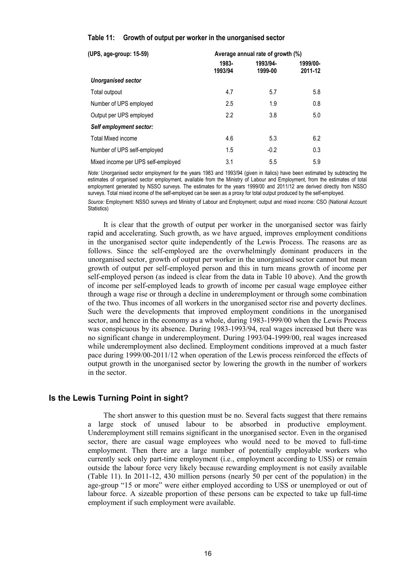#### <span id="page-24-1"></span>**Table 11: Growth of output per worker in the unorganised sector**

| (UPS, age-group: 15-59)            | Average annual rate of growth (%) |          |          |  |  |
|------------------------------------|-----------------------------------|----------|----------|--|--|
|                                    | 1983-<br>1993/94                  | 1993/94- | 1999/00- |  |  |
| <b>Unorganised sector</b>          |                                   | 1999-00  | 2011-12  |  |  |
| Total outpout                      | 4.7                               | 5.7      | 5.8      |  |  |
| Number of UPS employed             | 2.5                               | 1.9      | 0.8      |  |  |
| Output per UPS employed            | 2.2                               | 3.8      | 5.0      |  |  |
| Self employment sector:            |                                   |          |          |  |  |
| <b>Total Mixed income</b>          | 4.6                               | 5.3      | 6.2      |  |  |
| Number of UPS self-employed        | 1.5                               | $-0.2$   | 0.3      |  |  |
| Mixed income per UPS self-employed | 3.1                               | 5.5      | 5.9      |  |  |

*Note:* Unorganised sector employment for the years 1983 and 1993/94 (given in italics) have been estimated by subtracting the estimates of organised sector employment, available from the Ministry of Labour and Employment, from the estimates of total employment generated by NSSO surveys. The estimates for the years 1999/00 and 2011/12 are derived directly from NSSO surveys. Total mixed income of the self-employed can be seen as a proxy for total output produced by the self-employed.

*Source:* Employment: NSSO surveys and Ministry of Labour and Employment; output and mixed income: CSO (National Account Statistics)

It is clear that the growth of output per worker in the unorganised sector was fairly rapid and accelerating. Such growth, as we have argued, improves employment conditions in the unorganised sector quite independently of the Lewis Process. The reasons are as follows. Since the self-employed are the overwhelmingly dominant producers in the unorganised sector, growth of output per worker in the unorganised sector cannot but mean growth of output per self-employed person and this in turn means growth of income per self-employed person (as indeed is clear from the data in Table 10 above). And the growth of income per self-employed leads to growth of income per casual wage employee either through a wage rise or through a decline in underemployment or through some combination of the two. Thus incomes of all workers in the unorganised sector rise and poverty declines. Such were the developments that improved employment conditions in the unorganised sector, and hence in the economy as a whole, during 1983-1999/00 when the Lewis Process was conspicuous by its absence. During 1983-1993/94, real wages increased but there was no significant change in underemployment. During 1993/04-1999/00, real wages increased while underemployment also declined. Employment conditions improved at a much faster pace during 1999/00-2011/12 when operation of the Lewis process reinforced the effects of output growth in the unorganised sector by lowering the growth in the number of workers in the sector.

#### <span id="page-24-0"></span>**Is the Lewis Turning Point in sight?**

The short answer to this question must be no. Several facts suggest that there remains a large stock of unused labour to be absorbed in productive employment. Underemployment still remains significant in the unorganised sector. Even in the organised sector, there are casual wage employees who would need to be moved to full-time employment. Then there are a large number of potentially employable workers who currently seek only part-time employment (i.e., employment according to USS) or remain outside the labour force very likely because rewarding employment is not easily available (Table 11). In 2011-12, 430 million persons (nearly 50 per cent of the population) in the age-group "15 or more" were either employed according to USS or unemployed or out of labour force. A sizeable proportion of these persons can be expected to take up full-time employment if such employment were available.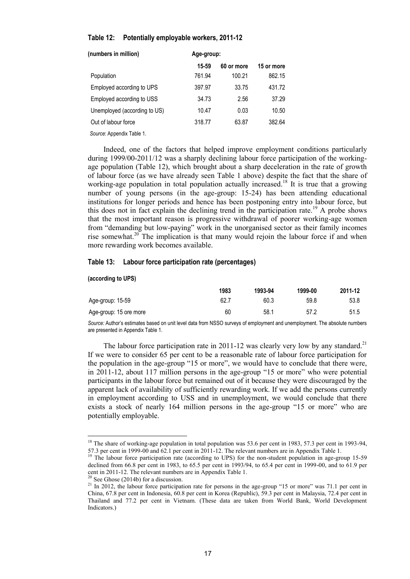#### <span id="page-25-0"></span>**Table 12: Potentially employable workers, 2011-12**

| (numbers in million)         | Age-group: |            |            |  |  |
|------------------------------|------------|------------|------------|--|--|
|                              | 15-59      | 60 or more | 15 or more |  |  |
| Population                   | 761.94     | 100.21     | 862.15     |  |  |
| Employed according to UPS    | 397.97     | 33.75      | 431.72     |  |  |
| Employed according to USS    | 34.73      | 2.56       | 37.29      |  |  |
| Unemployed (according to US) | 10.47      | 0.03       | 10.50      |  |  |
| Out of labour force          | 318.77     | 63.87      | 382.64     |  |  |
| Source: Appendix Table 1.    |            |            |            |  |  |

Indeed, one of the factors that helped improve employment conditions particularly during 1999/00-2011/12 was a sharply declining labour force participation of the workingage population (Table 12), which brought about a sharp deceleration in the rate of growth of labour force (as we have already seen Table 1 above) despite the fact that the share of working-age population in total population actually increased.<sup>18</sup> It is true that a growing number of young persons (in the age-group: 15-24) has been attending educational institutions for longer periods and hence has been postponing entry into labour force, but this does not in fact explain the declining trend in the participation rate.<sup>19</sup> A probe shows that the most important reason is progressive withdrawal of poorer working-age women from "demanding but low-paying" work in the unorganised sector as their family incomes rise somewhat.<sup>20</sup> The implication is that many would rejoin the labour force if and when more rewarding work becomes available.

#### <span id="page-25-1"></span>**Table 13: Labour force participation rate (percentages)**

#### **(according to UPS)**

1

|                        | 1983 | 1993-94 | 1999-00 | 2011-12 |
|------------------------|------|---------|---------|---------|
| Age-group: 15-59       | 62.7 | 60.3    | 59.8    | 53.8    |
| Age-group: 15 ore more | 60   | 58.1    | 57.2    | 51.5    |

*Source:* Author's estimates based on unit level data from NSSO surveys of employment and unemployment. The absolute numbers are presented in Appendix Table 1.

The labour force participation rate in 2011-12 was clearly very low by any standard.<sup>21</sup> If we were to consider 65 per cent to be a reasonable rate of labour force participation for the population in the age-group "15 or more", we would have to conclude that there were, in 2011-12, about 117 million persons in the age-group "15 or more" who were potential participants in the labour force but remained out of it because they were discouraged by the apparent lack of availability of sufficiently rewarding work. If we add the persons currently in employment according to USS and in unemployment, we would conclude that there exists a stock of nearly 164 million persons in the age-group "15 or more" who are potentially employable.

<sup>&</sup>lt;sup>18</sup> The share of working-age population in total population was 53.6 per cent in 1983, 57.3 per cent in 1993-94, 57.3 per cent in 1999-00 and 62.1 per cent in 2011-12. The relevant numbers are in Appendix Table 1.

<sup>&</sup>lt;sup>19</sup> The labour force participation rate (according to UPS) for the non-student population in age-group 15-59 declined from 66.8 per cent in 1983, to 65.5 per cent in 1993/94, to 65.4 per cent in 1999-00, and to 61.9 per cent in 2011-12. The relevant numbers are in Appendix Table 1.

 $20$  See Ghose (2014b) for a discussion.

<sup>&</sup>lt;sup>21</sup> In 2012, the labour force participation rate for persons in the age-group "15 or more" was 71.1 per cent in China, 67.8 per cent in Indonesia, 60.8 per cent in Korea (Republic), 59.3 per cent in Malaysia, 72.4 per cent in Thailand and 77.2 per cent in Vietnam. (These data are taken from World Bank, World Development Indicators.)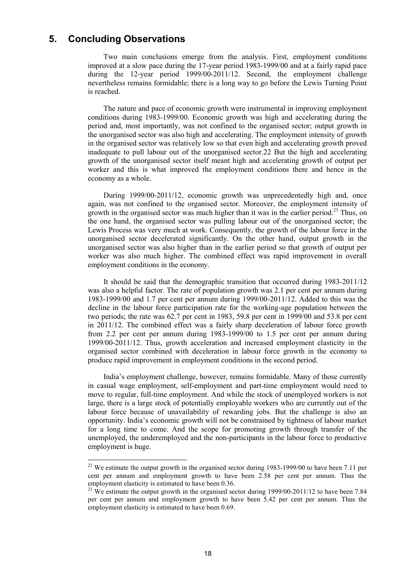## <span id="page-26-0"></span>**5. Concluding Observations**

1

Two main conclusions emerge from the analysis. First, employment conditions improved at a slow pace during the 17-year period 1983-1999/00 and at a fairly rapid pace during the 12-year period 1999/00-2011/12. Second, the employment challenge nevertheless remains formidable; there is a long way to go before the Lewis Turning Point is reached.

The nature and pace of economic growth were instrumental in improving employment conditions during 1983-1999/00. Economic growth was high and accelerating during the period and, most importantly, was not confined to the organised sector; output growth in the unorganised sector was also high and accelerating. The employment intensity of growth in the organised sector was relatively low so that even high and accelerating growth proved inadequate to pull labour out of the unorganised sector.22 But the high and accelerating growth of the unorganised sector itself meant high and accelerating growth of output per worker and this is what improved the employment conditions there and hence in the economy as a whole.

During 1999/00-2011/12, economic growth was unprecedentedly high and, once again, was not confined to the organised sector. Moreover, the employment intensity of growth in the organised sector was much higher than it was in the earlier period.<sup>23</sup> Thus, on the one hand, the organised sector was pulling labour out of the unorganised sector; the Lewis Process was very much at work. Consequently, the growth of the labour force in the unorganised sector decelerated significantly. On the other hand, output growth in the unorganised sector was also higher than in the earlier period so that growth of output per worker was also much higher. The combined effect was rapid improvement in overall employment conditions in the economy.

It should be said that the demographic transition that occurred during 1983-2011/12 was also a helpful factor. The rate of population growth was 2.1 per cent per annum during 1983-1999/00 and 1.7 per cent per annum during 1999/00-2011/12. Added to this was the decline in the labour force participation rate for the working-age population between the two periods; the rate was 62.7 per cent in 1983, 59.8 per cent in 1999/00 and 53.8 per cent in 2011/12. The combined effect was a fairly sharp deceleration of labour force growth from 2.2 per cent per annum during 1983-1999/00 to 1.5 per cent per annum during 1999/00-2011/12. Thus, growth acceleration and increased employment elasticity in the organised sector combined with deceleration in labour force growth in the economy to produce rapid improvement in employment conditions in the second period.

India's employment challenge, however, remains formidable. Many of those currently in casual wage employment, self-employment and part-time employment would need to move to regular, full-time employment. And while the stock of unemployed workers is not large, there is a large stock of potentially employable workers who are currently out of the labour force because of unavailability of rewarding jobs. But the challenge is also an opportunity. India's economic growth will not be constrained by tightness of labour market for a long time to come. And the scope for promoting growth through transfer of the unemployed, the underemployed and the non-participants in the labour force to productive employment is huge.

<sup>&</sup>lt;sup>22</sup> We estimate the output growth in the organised sector during 1983-1999/00 to have been 7.11 per cent per annum and employment growth to have been 2.58 per cent per annum. Thus the employment elasticity is estimated to have been 0.36.

 $23$  We estimate the output growth in the organised sector during 1999/00-2011/12 to have been 7.84 per cent per annum and employment growth to have been 5.42 per cent per annum. Thus the employment elasticity is estimated to have been 0.69.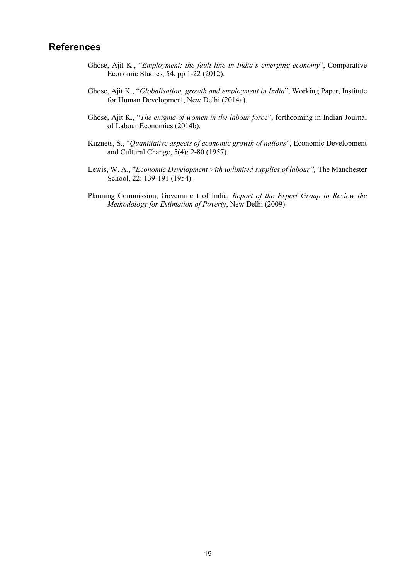## <span id="page-27-0"></span>**References**

- Ghose, Ajit K., "*Employment: the fault line in India's emerging economy*", Comparative Economic Studies, 54, pp 1-22 (2012).
- Ghose, Ajit K., "*Globalisation, growth and employment in India*", Working Paper, Institute for Human Development, New Delhi (2014a).
- Ghose, Ajit K., "*The enigma of women in the labour force*", forthcoming in Indian Journal of Labour Economics (2014b).
- Kuznets, S., "*Quantitative aspects of economic growth of nations*", Economic Development and Cultural Change, 5(4): 2-80 (1957).
- Lewis, W. A., "*Economic Development with unlimited supplies of labour",* The Manchester School, 22: 139-191 (1954).
- Planning Commission, Government of India, *Report of the Expert Group to Review the Methodology for Estimation of Poverty*, New Delhi (2009).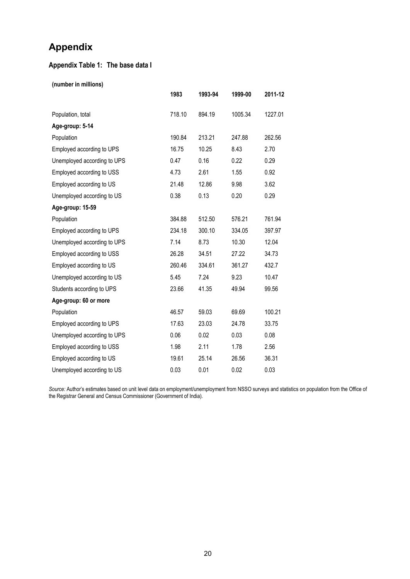## <span id="page-28-0"></span>**Appendix**

## **Appendix Table 1: The base data I**

**(number in millions)**

|                             | 1983   | 1993-94 | 1999-00 | 2011-12 |
|-----------------------------|--------|---------|---------|---------|
| Population, total           | 718.10 | 894.19  | 1005.34 | 1227.01 |
| Age-group: 5-14             |        |         |         |         |
| Population                  | 190.84 | 213.21  | 247.88  | 262.56  |
| Employed according to UPS   | 16.75  | 10.25   | 8.43    | 2.70    |
| Unemployed according to UPS | 0.47   | 0.16    | 0.22    | 0.29    |
| Employed according to USS   | 4.73   | 2.61    | 1.55    | 0.92    |
| Employed according to US    | 21.48  | 12.86   | 9.98    | 3.62    |
| Unemployed according to US  | 0.38   | 0.13    | 0.20    | 0.29    |
| Age-group: 15-59            |        |         |         |         |
| Population                  | 384.88 | 512.50  | 576.21  | 761.94  |
| Employed according to UPS   | 234.18 | 300.10  | 334.05  | 397.97  |
| Unemployed according to UPS | 7.14   | 8.73    | 10.30   | 12.04   |
| Employed according to USS   | 26.28  | 34.51   | 27.22   | 34.73   |
| Employed according to US    | 260.46 | 334.61  | 361.27  | 432.7   |
| Unemployed according to US  | 5.45   | 7.24    | 9.23    | 10.47   |
| Students according to UPS   | 23.66  | 41.35   | 49.94   | 99.56   |
| Age-group: 60 or more       |        |         |         |         |
| Population                  | 46.57  | 59.03   | 69.69   | 100.21  |
| Employed according to UPS   | 17.63  | 23.03   | 24.78   | 33.75   |
| Unemployed according to UPS | 0.06   | 0.02    | 0.03    | 0.08    |
| Employed according to USS   | 1.98   | 2.11    | 1.78    | 2.56    |
| Employed according to US    | 19.61  | 25.14   | 26.56   | 36.31   |
| Unemployed according to US  | 0.03   | 0.01    | 0.02    | 0.03    |

*Source:* Author's estimates based on unit level data on employment/unemployment from NSSO surveys and statistics on population from the Office of the Registrar General and Census Commissioner (Government of India).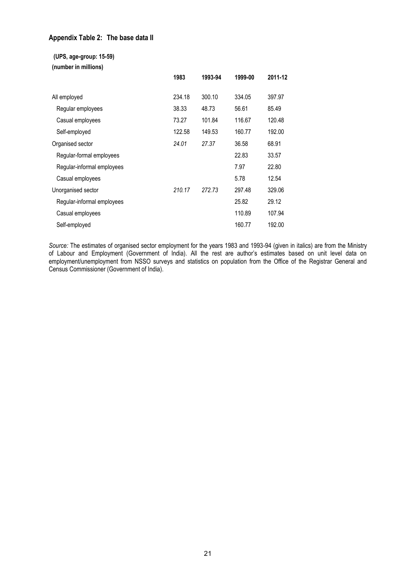#### **Appendix Table 2: The base data II**

**(UPS, age-group: 15-59)**

**(number in millions)**

|                            | 1983   | 1993-94 | 1999-00 | 2011-12 |
|----------------------------|--------|---------|---------|---------|
| All employed               | 234.18 | 300.10  | 334.05  | 397.97  |
| Regular employees          | 38.33  | 48.73   | 56.61   | 85.49   |
| Casual employees           | 73.27  | 101.84  | 116.67  | 120.48  |
| Self-employed              | 122.58 | 149.53  | 160.77  | 192.00  |
| Organised sector           | 24.01  | 27.37   | 36.58   | 68.91   |
| Regular-formal employees   |        |         | 22.83   | 33.57   |
| Regular-informal employees |        |         | 7.97    | 22.80   |
| Casual employees           |        |         | 5.78    | 12.54   |
| Unorganised sector         | 210.17 | 272.73  | 297.48  | 329.06  |
| Regular-informal employees |        |         | 25.82   | 29.12   |
| Casual employees           |        |         | 110.89  | 107.94  |
| Self-employed              |        |         | 160.77  | 192.00  |

*Source:* The estimates of organised sector employment for the years 1983 and 1993-94 (given in italics) are from the Ministry of Labour and Employment (Government of India). All the rest are author's estimates based on unit level data on employment/unemployment from NSSO surveys and statistics on population from the Office of the Registrar General and Census Commissioner (Government of India).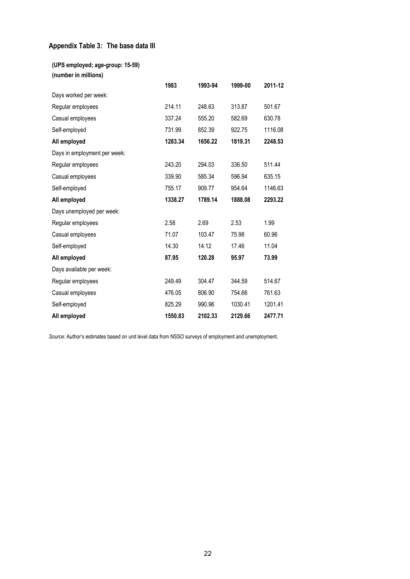## **Appendix Table 3: The base data III**

|  |  | (UPS employed; age-group: 15-59) |  |  |
|--|--|----------------------------------|--|--|
|  |  |                                  |  |  |

| (number in millions)  |  |
|-----------------------|--|
| Days worked per week: |  |

| Regular employees            | 214.11  | 248.63  | 313.87  | 501.67  |
|------------------------------|---------|---------|---------|---------|
| Casual employees             | 337.24  | 555.20  | 582.69  | 630.78  |
| Self-employed                | 731.99  | 852.39  | 922.75  | 1116.08 |
| All employed                 | 1283.34 | 1656.22 | 1819.31 | 2248.53 |
| Days in employment per week: |         |         |         |         |
| Regular employees            | 243.20  | 294.03  | 336.50  | 511.44  |
| Casual employees             | 339.90  | 585.34  | 596.94  | 635.15  |
| Self-employed                | 755.17  | 909.77  | 954.64  | 1146.63 |
| All employed                 | 1338.27 | 1789.14 | 1888.08 | 2293.22 |
| Days unemployed per week:    |         |         |         |         |
| Regular employees            | 2.58    | 2.69    | 2.53    | 1.99    |
| Casual employees             | 71.07   | 103.47  | 75.98   | 60.96   |
| Self-employed                | 14.30   | 14.12   | 17.46   | 11.04   |
| All employed                 | 87.95   | 120.28  | 95.97   | 73.99   |
| Days available per week:     |         |         |         |         |
| Regular employees            | 249.49  | 304.47  | 344.59  | 514.67  |
| Casual employees             | 476.05  | 806.90  | 754.66  | 761.63  |
| Self-employed                | 825.29  | 990.96  | 1030.41 | 1201.41 |
| All employed                 | 1550.83 | 2102.33 | 2129.66 | 2477.71 |

**1983 1993-94 1999-00 2011-12**

*Source:* Author's estimates based on unit level data from NSSO surveys of employment and unemployment.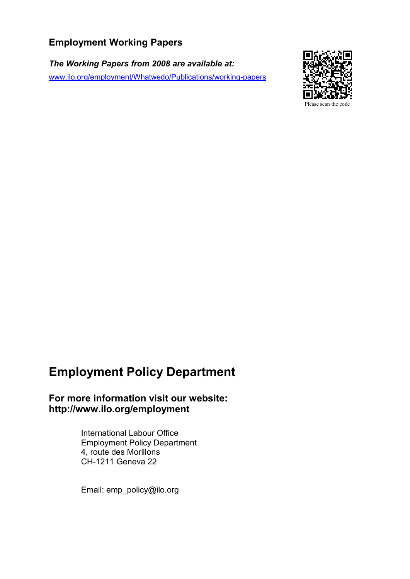## **Employment Working Papers**

*The Working Papers from 2008 are available at:* [www.ilo.org/employment/Whatwedo/Publications/working-papers](http://www.ilo.org/employment/Whatwedo/Publications/working-papers)



**Employment Policy Department**

**For more information visit our website: http://www.ilo.org/employment**

> International Labour Office Employment Policy Department 4, route des Morillons CH-1211 Geneva 22

Email: emp\_policy@ilo.org